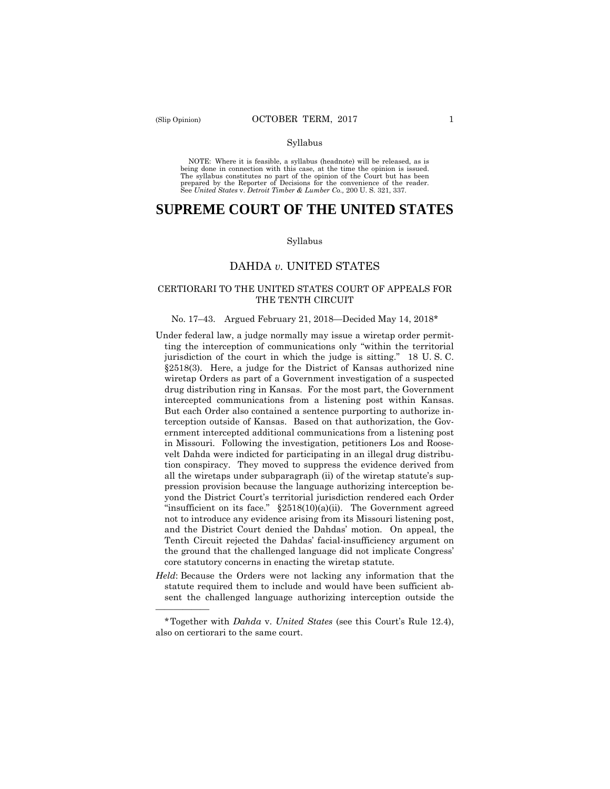——————

#### Syllabus

 NOTE: Where it is feasible, a syllabus (headnote) will be released, as is being done in connection with this case, at the time the opinion is issued. The syllabus constitutes no part of the opinion of the Court but has been<br>prepared by the Reporter of Decisions for the convenience of the reader.<br>See United States v. Detroit Timber & Lumber Co., 200 U.S. 321, 337.

# **SUPREME COURT OF THE UNITED STATES**

#### Syllabus

## DAHDA *v.* UNITED STATES

## CERTIORARI TO THE UNITED STATES COURT OF APPEALS FOR THE TENTH CIRCUIT

#### No. 17–43. Argued February 21, 2018—Decided May 14, 2018\*

- Under federal law, a judge normally may issue a wiretap order permitting the interception of communications only "within the territorial jurisdiction of the court in which the judge is sitting." 18 U. S. C. §2518(3). Here, a judge for the District of Kansas authorized nine wiretap Orders as part of a Government investigation of a suspected drug distribution ring in Kansas. For the most part, the Government intercepted communications from a listening post within Kansas. But each Order also contained a sentence purporting to authorize interception outside of Kansas. Based on that authorization, the Government intercepted additional communications from a listening post in Missouri. Following the investigation, petitioners Los and Roosevelt Dahda were indicted for participating in an illegal drug distribution conspiracy. They moved to suppress the evidence derived from all the wiretaps under subparagraph (ii) of the wiretap statute's suppression provision because the language authorizing interception beyond the District Court's territorial jurisdiction rendered each Order "insufficient on its face."  $\S 2518(10)(a)(ii)$ . The Government agreed not to introduce any evidence arising from its Missouri listening post, and the District Court denied the Dahdas' motion. On appeal, the Tenth Circuit rejected the Dahdas' facial-insufficiency argument on the ground that the challenged language did not implicate Congress' core statutory concerns in enacting the wiretap statute.
- *Held*: Because the Orders were not lacking any information that the statute required them to include and would have been sufficient absent the challenged language authorizing interception outside the

<sup>\*</sup>Together with *Dahda* v. *United States* (see this Court's Rule 12.4), also on certiorari to the same court.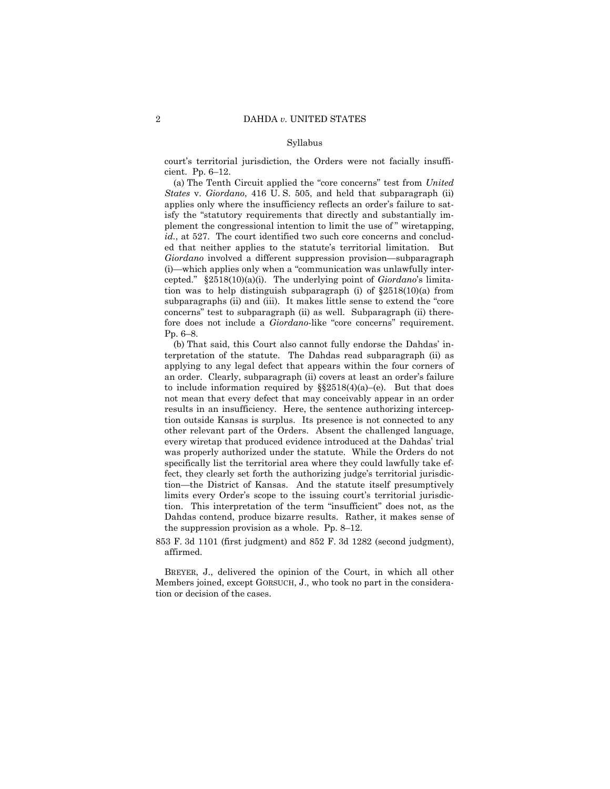#### Syllabus

court's territorial jurisdiction, the Orders were not facially insufficient. Pp. 6–12.

(a) The Tenth Circuit applied the "core concerns" test from *United States* v. *Giordano*, 416 U. S. 505, and held that subparagraph (ii) applies only where the insufficiency reflects an order's failure to satisfy the "statutory requirements that directly and substantially implement the congressional intention to limit the use of " wiretapping, *id.*, at 527. The court identified two such core concerns and concluded that neither applies to the statute's territorial limitation. But *Giordano* involved a different suppression provision—subparagraph (i)—which applies only when a "communication was unlawfully intercepted." §2518(10)(a)(i). The underlying point of *Giordano*'s limitation was to help distinguish subparagraph (i) of §2518(10)(a) from subparagraphs (ii) and (iii). It makes little sense to extend the "core concerns" test to subparagraph (ii) as well. Subparagraph (ii) therefore does not include a *Giordano*-like "core concerns" requirement. Pp. 6–8.

(b) That said, this Court also cannot fully endorse the Dahdas' interpretation of the statute. The Dahdas read subparagraph (ii) as applying to any legal defect that appears within the four corners of an order. Clearly, subparagraph (ii) covers at least an order's failure to include information required by  $\S$ §2518(4)(a)–(e). But that does not mean that every defect that may conceivably appear in an order results in an insufficiency. Here, the sentence authorizing interception outside Kansas is surplus. Its presence is not connected to any other relevant part of the Orders. Absent the challenged language, every wiretap that produced evidence introduced at the Dahdas' trial was properly authorized under the statute. While the Orders do not specifically list the territorial area where they could lawfully take effect, they clearly set forth the authorizing judge's territorial jurisdiction—the District of Kansas. And the statute itself presumptively limits every Order's scope to the issuing court's territorial jurisdiction. This interpretation of the term "insufficient" does not, as the Dahdas contend, produce bizarre results. Rather, it makes sense of the suppression provision as a whole. Pp. 8–12.

853 F. 3d 1101 (first judgment) and 852 F. 3d 1282 (second judgment), affirmed.

BREYER, J., delivered the opinion of the Court, in which all other Members joined, except GORSUCH, J., who took no part in the consideration or decision of the cases.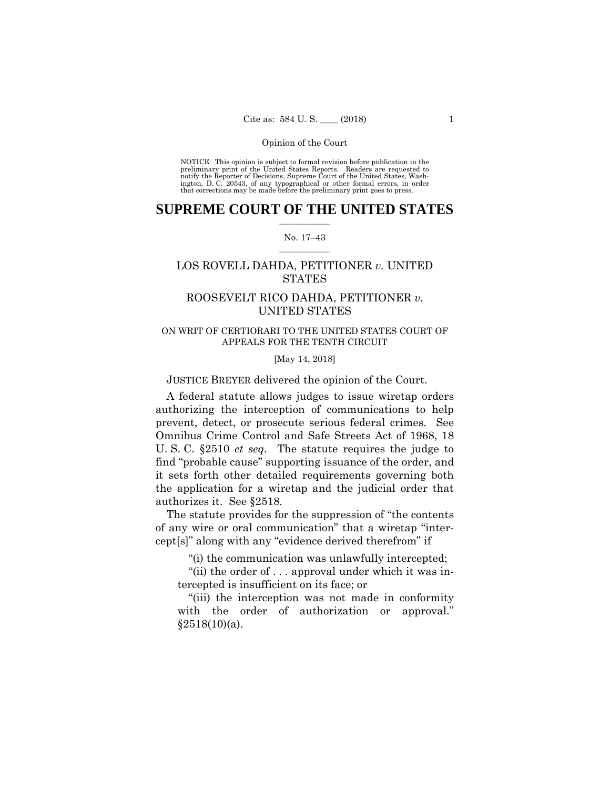preliminary print of the United States Reports. Readers are requested to notify the Reporter of Decisions, Supreme Court of the United States, Wash- ington, D. C. 20543, of any typographical or other formal errors, in order that corrections may be made before the preliminary print goes to press. NOTICE: This opinion is subject to formal revision before publication in the

## $\frac{1}{2}$  ,  $\frac{1}{2}$  ,  $\frac{1}{2}$  ,  $\frac{1}{2}$  ,  $\frac{1}{2}$  ,  $\frac{1}{2}$  ,  $\frac{1}{2}$ **SUPREME COURT OF THE UNITED STATES**

#### $\frac{1}{2}$  ,  $\frac{1}{2}$  ,  $\frac{1}{2}$  ,  $\frac{1}{2}$  ,  $\frac{1}{2}$  ,  $\frac{1}{2}$ No. 17–43

## LOS ROVELL DAHDA, PETITIONER *v.* UNITED **STATES**

## ROOSEVELT RICO DAHDA, PETITIONER *v.* UNITED STATES

## ON WRIT OF CERTIORARI TO THE UNITED STATES COURT OF APPEALS FOR THE TENTH CIRCUIT

#### [May 14, 2018]

JUSTICE BREYER delivered the opinion of the Court.

A federal statute allows judges to issue wiretap orders authorizing the interception of communications to help prevent, detect, or prosecute serious federal crimes. See Omnibus Crime Control and Safe Streets Act of 1968, 18 U. S. C. §2510 *et seq.* The statute requires the judge to find "probable cause" supporting issuance of the order, and it sets forth other detailed requirements governing both the application for a wiretap and the judicial order that authorizes it. See §2518*.* 

The statute provides for the suppression of "the contents of any wire or oral communication" that a wiretap "intercept[s]" along with any "evidence derived therefrom" if

"(i) the communication was unlawfully intercepted;

"(ii) the order of . . . approval under which it was intercepted is insufficient on its face; or

"(iii) the interception was not made in conformity with the order of authorization or approval."  $§2518(10)(a)$ .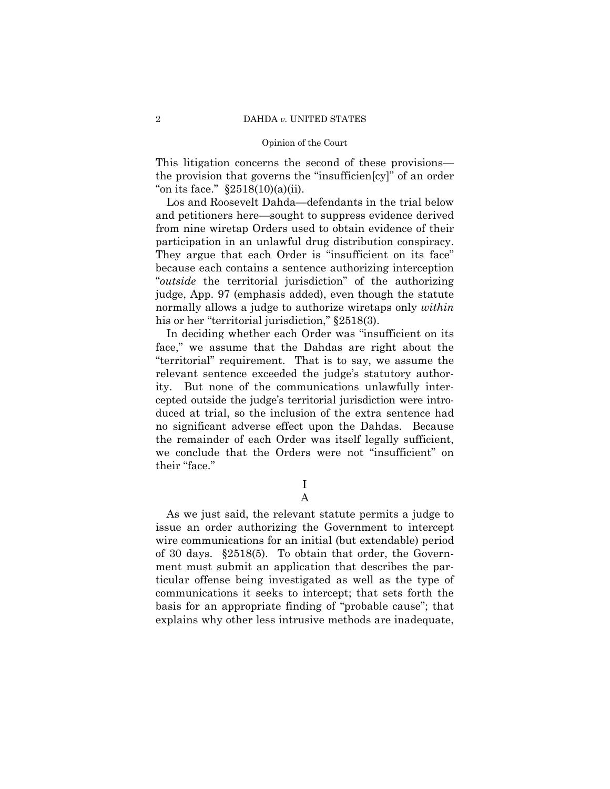This litigation concerns the second of these provisions the provision that governs the "insufficien[cy]" of an order "on its face."  $\S 2518(10)(a)(ii)$ .

Los and Roosevelt Dahda—defendants in the trial below and petitioners here—sought to suppress evidence derived from nine wiretap Orders used to obtain evidence of their participation in an unlawful drug distribution conspiracy. They argue that each Order is "insufficient on its face" because each contains a sentence authorizing interception "*outside* the territorial jurisdiction" of the authorizing judge, App. 97 (emphasis added), even though the statute normally allows a judge to authorize wiretaps only *within*  his or her "territorial jurisdiction," §2518(3).

In deciding whether each Order was "insufficient on its face," we assume that the Dahdas are right about the "territorial" requirement. That is to say, we assume the relevant sentence exceeded the judge's statutory authority. But none of the communications unlawfully intercepted outside the judge's territorial jurisdiction were introduced at trial, so the inclusion of the extra sentence had no significant adverse effect upon the Dahdas. Because the remainder of each Order was itself legally sufficient, we conclude that the Orders were not "insufficient" on their "face."

> I A

As we just said, the relevant statute permits a judge to issue an order authorizing the Government to intercept wire communications for an initial (but extendable) period of 30 days. §2518(5). To obtain that order, the Government must submit an application that describes the particular offense being investigated as well as the type of communications it seeks to intercept; that sets forth the basis for an appropriate finding of "probable cause"; that explains why other less intrusive methods are inadequate,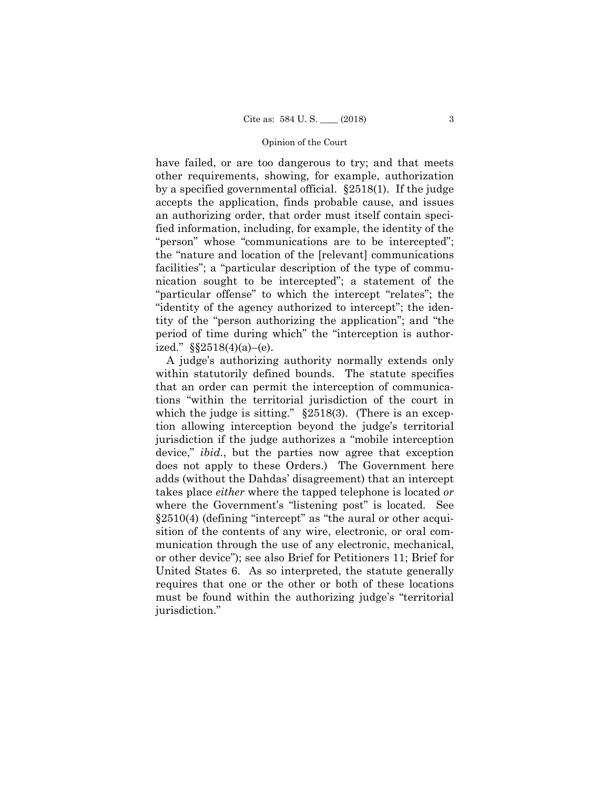have failed, or are too dangerous to try; and that meets other requirements, showing, for example, authorization by a specified governmental official. §2518(1). If the judge accepts the application, finds probable cause, and issues an authorizing order, that order must itself contain specified information, including, for example, the identity of the "person" whose "communications are to be intercepted"; the "nature and location of the [relevant] communications facilities"; a "particular description of the type of communication sought to be intercepted"; a statement of the "particular offense" to which the intercept "relates"; the "identity of the agency authorized to intercept"; the identity of the "person authorizing the application"; and "the period of time during which" the "interception is authorized."  $\S$ §2518(4)(a)–(e).

A judge's authorizing authority normally extends only within statutorily defined bounds. The statute specifies that an order can permit the interception of communications "within the territorial jurisdiction of the court in which the judge is sitting." §2518(3). (There is an exception allowing interception beyond the judge's territorial jurisdiction if the judge authorizes a "mobile interception device," *ibid.*, but the parties now agree that exception does not apply to these Orders.) The Government here adds (without the Dahdas' disagreement) that an intercept takes place *either* where the tapped telephone is located *or*  where the Government's "listening post" is located. See §2510(4) (defining "intercept" as "the aural or other acquisition of the contents of any wire, electronic, or oral communication through the use of any electronic, mechanical, or other device"); see also Brief for Petitioners 11; Brief for United States 6. As so interpreted, the statute generally requires that one or the other or both of these locations must be found within the authorizing judge's "territorial jurisdiction."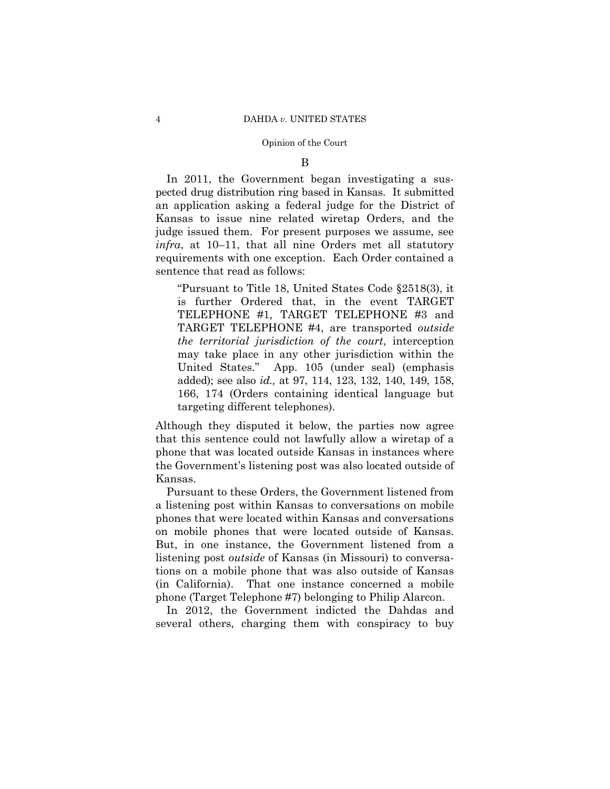#### B

In 2011, the Government began investigating a suspected drug distribution ring based in Kansas. It submitted an application asking a federal judge for the District of Kansas to issue nine related wiretap Orders, and the judge issued them. For present purposes we assume, see *infra*, at 10–11, that all nine Orders met all statutory requirements with one exception. Each Order contained a sentence that read as follows:

"Pursuant to Title 18, United States Code §2518(3), it is further Ordered that, in the event TARGET TELEPHONE #1, TARGET TELEPHONE #3 and TARGET TELEPHONE #4, are transported *outside the territorial jurisdiction of the court*, interception may take place in any other jurisdiction within the United States." App. 105 (under seal) (emphasis added); see also *id.,* at 97, 114, 123, 132, 140, 149, 158, 166, 174 (Orders containing identical language but targeting different telephones).

Although they disputed it below, the parties now agree that this sentence could not lawfully allow a wiretap of a phone that was located outside Kansas in instances where the Government's listening post was also located outside of Kansas.

Pursuant to these Orders, the Government listened from a listening post within Kansas to conversations on mobile phones that were located within Kansas and conversations on mobile phones that were located outside of Kansas. But, in one instance, the Government listened from a listening post *outside* of Kansas (in Missouri) to conversations on a mobile phone that was also outside of Kansas (in California). That one instance concerned a mobile phone (Target Telephone #7) belonging to Philip Alarcon.

In 2012, the Government indicted the Dahdas and several others, charging them with conspiracy to buy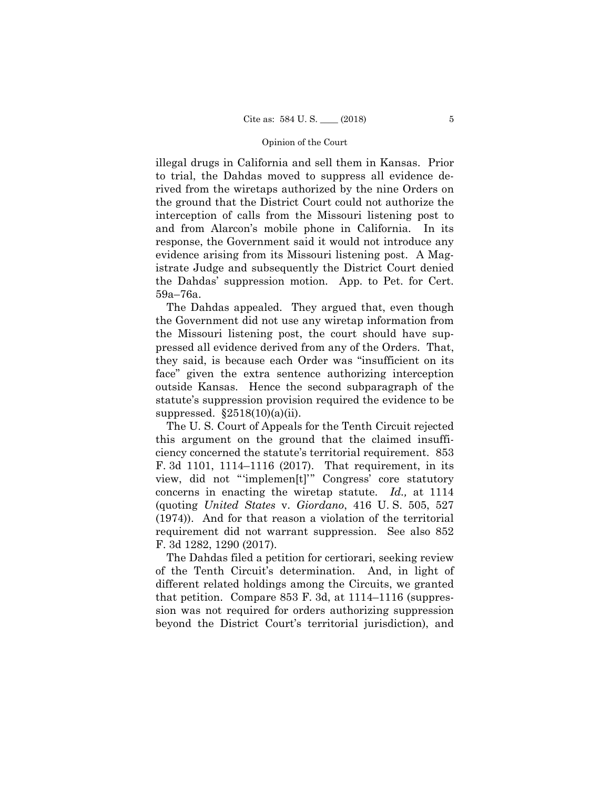illegal drugs in California and sell them in Kansas. Prior to trial, the Dahdas moved to suppress all evidence derived from the wiretaps authorized by the nine Orders on the ground that the District Court could not authorize the interception of calls from the Missouri listening post to and from Alarcon's mobile phone in California. In its response, the Government said it would not introduce any evidence arising from its Missouri listening post. A Magistrate Judge and subsequently the District Court denied the Dahdas' suppression motion. App. to Pet. for Cert. 59a–76a.

The Dahdas appealed. They argued that, even though the Government did not use any wiretap information from the Missouri listening post, the court should have suppressed all evidence derived from any of the Orders. That, they said, is because each Order was "insufficient on its face" given the extra sentence authorizing interception outside Kansas. Hence the second subparagraph of the statute's suppression provision required the evidence to be suppressed.  $§2518(10)(a)(ii)$ .

The U. S. Court of Appeals for the Tenth Circuit rejected this argument on the ground that the claimed insufficiency concerned the statute's territorial requirement. 853 F. 3d 1101, 1114–1116 (2017). That requirement, in its view, did not "'implemen[t]'" Congress' core statutory concerns in enacting the wiretap statute. *Id.,* at 1114 (quoting *United States* v. *Giordano*, 416 U. S. 505, 527 (1974)). And for that reason a violation of the territorial requirement did not warrant suppression. See also 852 F. 3d 1282, 1290 (2017).

The Dahdas filed a petition for certiorari, seeking review of the Tenth Circuit's determination. And, in light of different related holdings among the Circuits, we granted that petition. Compare 853 F. 3d, at 1114–1116 (suppression was not required for orders authorizing suppression beyond the District Court's territorial jurisdiction), and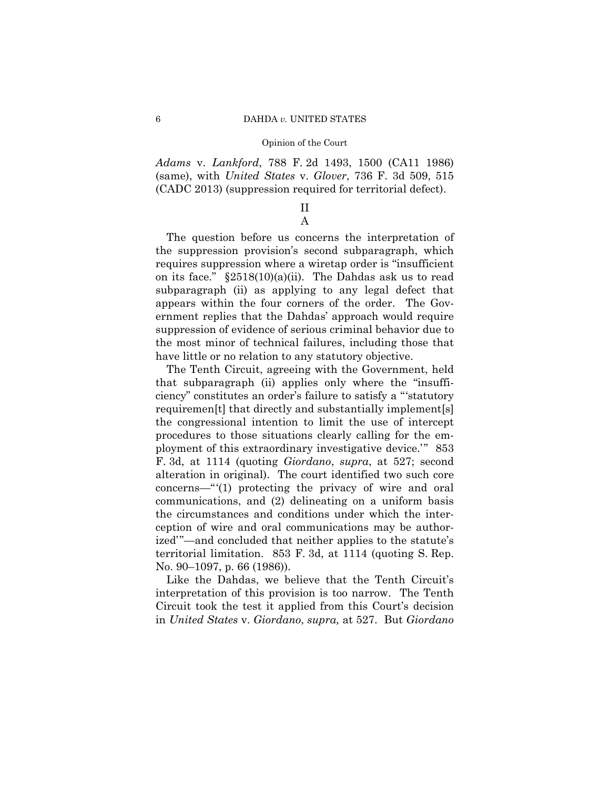*Adams* v. *Lankford*, 788 F. 2d 1493, 1500 (CA11 1986) (same), with *United States* v. *Glover*, 736 F. 3d 509, 515 (CADC 2013) (suppression required for territorial defect).

## II A

The question before us concerns the interpretation of the suppression provision's second subparagraph, which requires suppression where a wiretap order is "insufficient on its face."  $\S 2518(10)(a)(ii)$ . The Dahdas ask us to read subparagraph (ii) as applying to any legal defect that appears within the four corners of the order. The Government replies that the Dahdas' approach would require suppression of evidence of serious criminal behavior due to the most minor of technical failures, including those that have little or no relation to any statutory objective.

The Tenth Circuit, agreeing with the Government, held that subparagraph (ii) applies only where the "insufficiency" constitutes an order's failure to satisfy a "'statutory requiremen[t] that directly and substantially implement[s] the congressional intention to limit the use of intercept procedures to those situations clearly calling for the employment of this extraordinary investigative device.'" 853 F. 3d, at 1114 (quoting *Giordano*, *supra*, at 527; second alteration in original). The court identified two such core concerns—"'(1) protecting the privacy of wire and oral communications, and (2) delineating on a uniform basis the circumstances and conditions under which the interception of wire and oral communications may be authorized'"—and concluded that neither applies to the statute's territorial limitation. 853 F. 3d, at 1114 (quoting S. Rep. No. 90–1097, p. 66 (1986)).

 in *United States* v. *Giordano*, *supra,* at 527. But *Giordano* Like the Dahdas, we believe that the Tenth Circuit's interpretation of this provision is too narrow. The Tenth Circuit took the test it applied from this Court's decision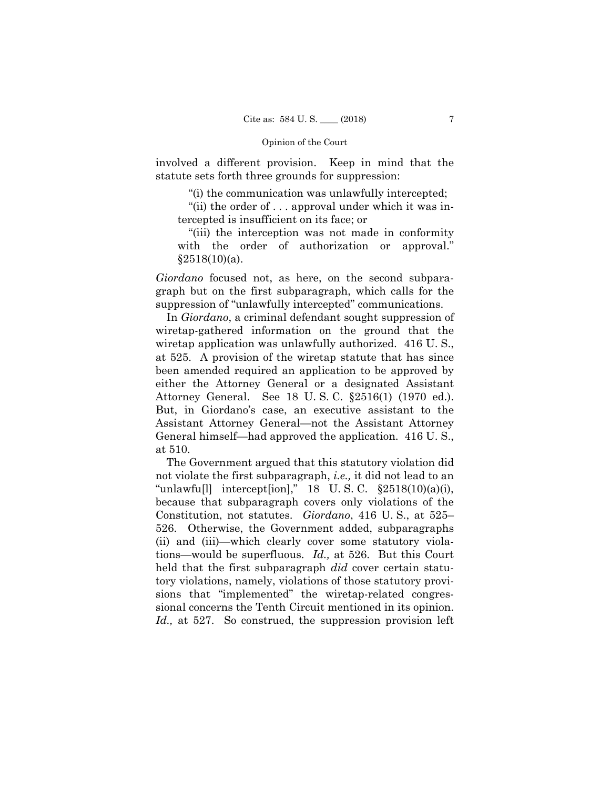involved a different provision. Keep in mind that the statute sets forth three grounds for suppression:

"(i) the communication was unlawfully intercepted;

"(ii) the order of . . . approval under which it was intercepted is insufficient on its face; or

"(iii) the interception was not made in conformity with the order of authorization or approval."  $§2518(10)(a)$ .

*Giordano* focused not, as here, on the second subparagraph but on the first subparagraph, which calls for the suppression of "unlawfully intercepted" communications.

In *Giordano*, a criminal defendant sought suppression of wiretap-gathered information on the ground that the wiretap application was unlawfully authorized. 416 U.S., at 525. A provision of the wiretap statute that has since been amended required an application to be approved by either the Attorney General or a designated Assistant Attorney General. See 18 U. S. C. §2516(1) (1970 ed.). But, in Giordano's case, an executive assistant to the Assistant Attorney General—not the Assistant Attorney General himself—had approved the application. 416 U. S., at 510.

The Government argued that this statutory violation did not violate the first subparagraph, *i.e.,* it did not lead to an "unlawfu[l] intercept[ion]," 18 U. S. C. §2518(10)(a)(i), because that subparagraph covers only violations of the Constitution, not statutes. *Giordano*, 416 U. S., at 525– 526. Otherwise, the Government added, subparagraphs (ii) and (iii)—which clearly cover some statutory violations—would be superfluous. *Id.,* at 526. But this Court held that the first subparagraph *did* cover certain statutory violations, namely, violations of those statutory provisions that "implemented" the wiretap-related congressional concerns the Tenth Circuit mentioned in its opinion. *Id.,* at 527. So construed, the suppression provision left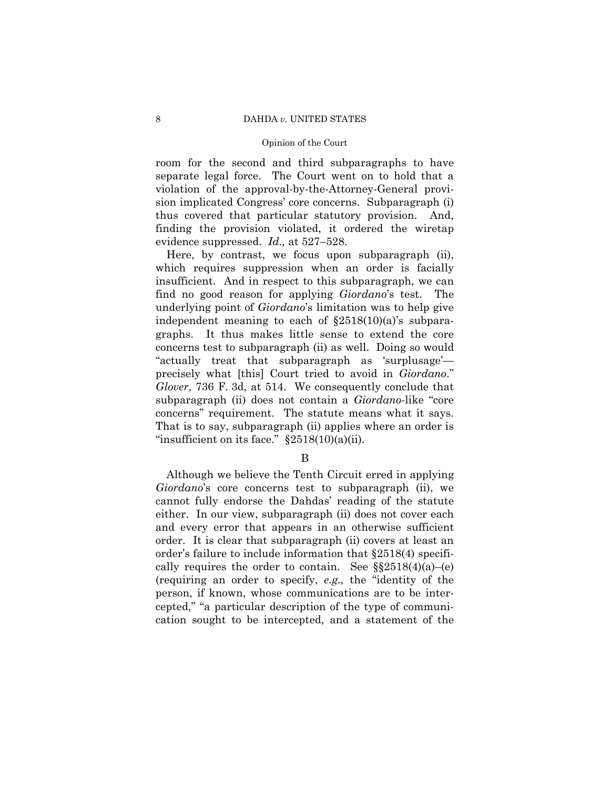room for the second and third subparagraphs to have separate legal force. The Court went on to hold that a violation of the approval-by-the-Attorney-General provision implicated Congress' core concerns. Subparagraph (i) thus covered that particular statutory provision. And, finding the provision violated, it ordered the wiretap evidence suppressed. *Id.,* at 527–528.

 concerns" requirement. The statute means what it says. Here, by contrast, we focus upon subparagraph (ii), which requires suppression when an order is facially insufficient. And in respect to this subparagraph, we can find no good reason for applying *Giordano*'s test. The underlying point of *Giordano*'s limitation was to help give independent meaning to each of  $\S2518(10)(a)$ 's subparagraphs. It thus makes little sense to extend the core concerns test to subparagraph (ii) as well. Doing so would "actually treat that subparagraph as 'surplusage' precisely what [this] Court tried to avoid in *Giordano*." *Glover*, 736 F. 3d, at 514. We consequently conclude that subparagraph (ii) does not contain a *Giordano-*like "core That is to say, subparagraph (ii) applies where an order is "insufficient on its face."  $\S 2518(10)(a)(ii)$ .

B

Although we believe the Tenth Circuit erred in applying *Giordano*'s core concerns test to subparagraph (ii), we cannot fully endorse the Dahdas' reading of the statute either. In our view, subparagraph (ii) does not cover each and every error that appears in an otherwise sufficient order. It is clear that subparagraph (ii) covers at least an order's failure to include information that §2518(4) specifically requires the order to contain. See  $\S$ §2518(4)(a)–(e) (requiring an order to specify, *e.g.,* the "identity of the person, if known, whose communications are to be intercepted," "a particular description of the type of communication sought to be intercepted, and a statement of the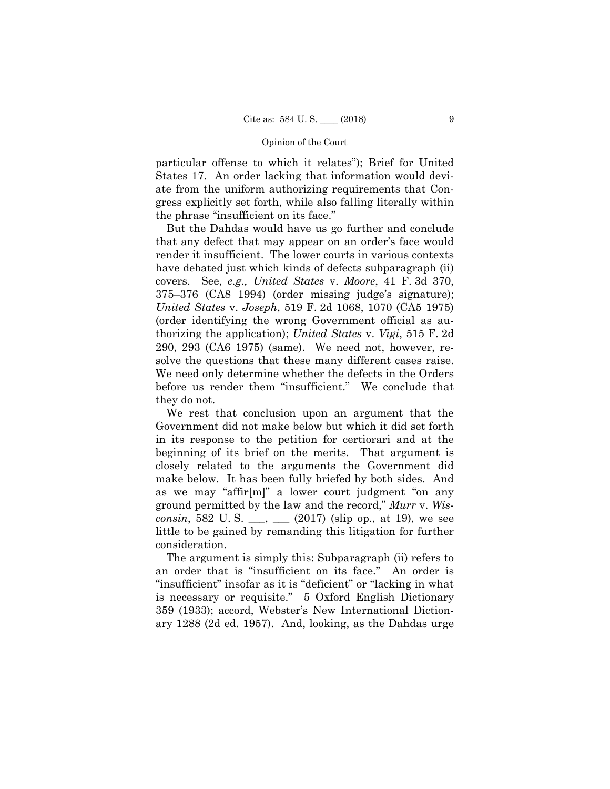particular offense to which it relates"); Brief for United States 17. An order lacking that information would deviate from the uniform authorizing requirements that Congress explicitly set forth, while also falling literally within the phrase "insufficient on its face."

But the Dahdas would have us go further and conclude that any defect that may appear on an order's face would render it insufficient. The lower courts in various contexts have debated just which kinds of defects subparagraph (ii) covers. See, *e.g., United States* v. *Moore*, 41 F. 3d 370, 375–376 (CA8 1994) (order missing judge's signature); *United States* v. *Joseph*, 519 F. 2d 1068, 1070 (CA5 1975) (order identifying the wrong Government official as authorizing the application); *United States* v. *Vigi*, 515 F. 2d 290, 293 (CA6 1975) (same). We need not, however, resolve the questions that these many different cases raise. We need only determine whether the defects in the Orders before us render them "insufficient." We conclude that they do not.

We rest that conclusion upon an argument that the Government did not make below but which it did set forth in its response to the petition for certiorari and at the beginning of its brief on the merits. That argument is closely related to the arguments the Government did make below. It has been fully briefed by both sides. And as we may "affir[m]" a lower court judgment "on any ground permitted by the law and the record," *Murr* v. *Wisconsin*, 582 U.S.  $\_\_\_\_\_\_\_\_\_\_$  (2017) (slip op., at 19), we see little to be gained by remanding this litigation for further consideration.

The argument is simply this: Subparagraph (ii) refers to an order that is "insufficient on its face." An order is "insufficient" insofar as it is "deficient" or "lacking in what is necessary or requisite." 5 Oxford English Dictionary 359 (1933); accord, Webster's New International Dictionary 1288 (2d ed. 1957). And, looking, as the Dahdas urge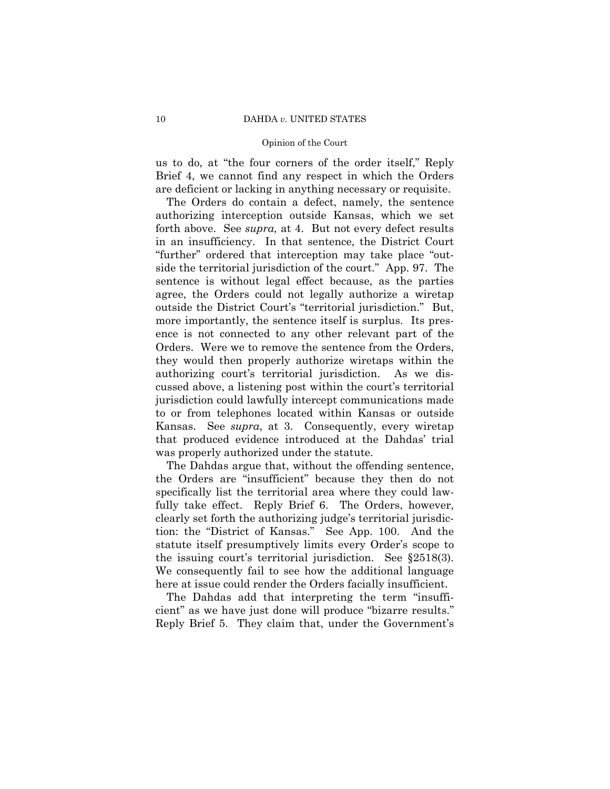#### 10 DAHDA *v.* UNITED STATES

## Opinion of the Court

us to do, at "the four corners of the order itself," Reply Brief 4, we cannot find any respect in which the Orders are deficient or lacking in anything necessary or requisite.

The Orders do contain a defect, namely, the sentence authorizing interception outside Kansas, which we set forth above. See *supra,* at 4. But not every defect results in an insufficiency. In that sentence, the District Court "further" ordered that interception may take place "outside the territorial jurisdiction of the court." App. 97. The sentence is without legal effect because, as the parties agree, the Orders could not legally authorize a wiretap outside the District Court's "territorial jurisdiction." But, more importantly, the sentence itself is surplus. Its presence is not connected to any other relevant part of the Orders. Were we to remove the sentence from the Orders, they would then properly authorize wiretaps within the authorizing court's territorial jurisdiction. As we discussed above, a listening post within the court's territorial jurisdiction could lawfully intercept communications made to or from telephones located within Kansas or outside Kansas. See *supra*, at 3. Consequently, every wiretap that produced evidence introduced at the Dahdas' trial was properly authorized under the statute.

The Dahdas argue that, without the offending sentence, the Orders are "insufficient" because they then do not specifically list the territorial area where they could lawfully take effect. Reply Brief 6. The Orders, however, clearly set forth the authorizing judge's territorial jurisdiction: the "District of Kansas." See App. 100. And the statute itself presumptively limits every Order's scope to the issuing court's territorial jurisdiction. See §2518(3). We consequently fail to see how the additional language here at issue could render the Orders facially insufficient.

The Dahdas add that interpreting the term "insufficient" as we have just done will produce "bizarre results." Reply Brief 5. They claim that, under the Government's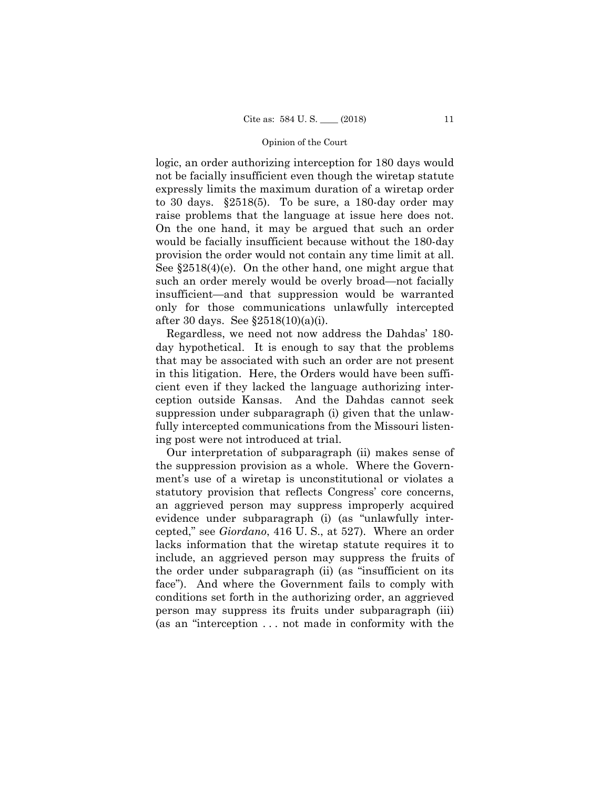raise problems that the language at issue here does not. provision the order would not contain any time limit at all. logic, an order authorizing interception for 180 days would not be facially insufficient even though the wiretap statute expressly limits the maximum duration of a wiretap order to 30 days. §2518(5). To be sure, a 180-day order may On the one hand, it may be argued that such an order would be facially insufficient because without the 180-day See §2518(4)(e). On the other hand, one might argue that such an order merely would be overly broad—not facially insufficient—and that suppression would be warranted only for those communications unlawfully intercepted after 30 days. See §2518(10)(a)(i).

Regardless, we need not now address the Dahdas' 180 day hypothetical. It is enough to say that the problems that may be associated with such an order are not present in this litigation. Here, the Orders would have been sufficient even if they lacked the language authorizing interception outside Kansas. And the Dahdas cannot seek suppression under subparagraph (i) given that the unlawfully intercepted communications from the Missouri listening post were not introduced at trial.

Our interpretation of subparagraph (ii) makes sense of the suppression provision as a whole. Where the Government's use of a wiretap is unconstitutional or violates a statutory provision that reflects Congress' core concerns, an aggrieved person may suppress improperly acquired evidence under subparagraph (i) (as "unlawfully intercepted," see *Giordano*, 416 U. S., at 527). Where an order lacks information that the wiretap statute requires it to include, an aggrieved person may suppress the fruits of the order under subparagraph (ii) (as "insufficient on its face"). And where the Government fails to comply with conditions set forth in the authorizing order, an aggrieved person may suppress its fruits under subparagraph (iii) (as an "interception . . . not made in conformity with the